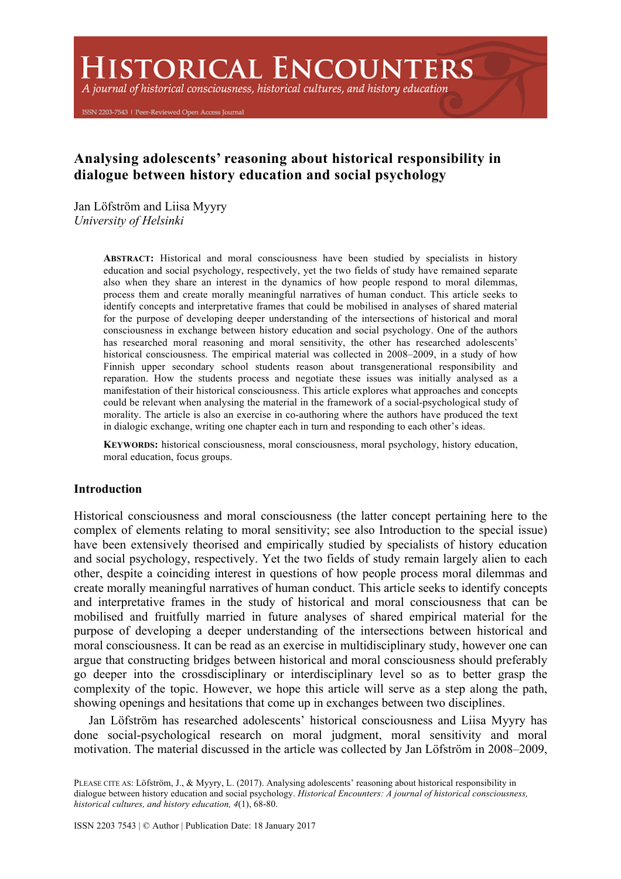**HISTORICAL ENCOUNTERS** 

A journal of historical consciousness, historical cultures, and history education

ISSN 2203-7543 | Peer-Reviewed Open Access Journal

# **Analysing adolescents' reasoning about historical responsibility in dialogue between history education and social psychology**

Jan Löfström and Liisa Myyry *University of Helsinki*

> **ABSTRACT:** Historical and moral consciousness have been studied by specialists in history education and social psychology, respectively, yet the two fields of study have remained separate also when they share an interest in the dynamics of how people respond to moral dilemmas, process them and create morally meaningful narratives of human conduct. This article seeks to identify concepts and interpretative frames that could be mobilised in analyses of shared material for the purpose of developing deeper understanding of the intersections of historical and moral consciousness in exchange between history education and social psychology. One of the authors has researched moral reasoning and moral sensitivity, the other has researched adolescents' historical consciousness. The empirical material was collected in 2008–2009, in a study of how Finnish upper secondary school students reason about transgenerational responsibility and reparation. How the students process and negotiate these issues was initially analysed as a manifestation of their historical consciousness. This article explores what approaches and concepts could be relevant when analysing the material in the framework of a social-psychological study of morality. The article is also an exercise in co-authoring where the authors have produced the text in dialogic exchange, writing one chapter each in turn and responding to each other's ideas.

> **KEYWORDS:** historical consciousness, moral consciousness, moral psychology, history education, moral education, focus groups.

#### **Introduction**

Historical consciousness and moral consciousness (the latter concept pertaining here to the complex of elements relating to moral sensitivity; see also Introduction to the special issue) have been extensively theorised and empirically studied by specialists of history education and social psychology, respectively. Yet the two fields of study remain largely alien to each other, despite a coinciding interest in questions of how people process moral dilemmas and create morally meaningful narratives of human conduct. This article seeks to identify concepts and interpretative frames in the study of historical and moral consciousness that can be mobilised and fruitfully married in future analyses of shared empirical material for the purpose of developing a deeper understanding of the intersections between historical and moral consciousness. It can be read as an exercise in multidisciplinary study, however one can argue that constructing bridges between historical and moral consciousness should preferably go deeper into the crossdisciplinary or interdisciplinary level so as to better grasp the complexity of the topic. However, we hope this article will serve as a step along the path, showing openings and hesitations that come up in exchanges between two disciplines.

Jan Löfström has researched adolescents' historical consciousness and Liisa Myyry has done social-psychological research on moral judgment, moral sensitivity and moral motivation. The material discussed in the article was collected by Jan Löfström in 2008–2009,

PLEASE CITE AS: Löfström, J., & Myyry, L. (2017). Analysing adolescents' reasoning about historical responsibility in dialogue between history education and social psychology. *Historical Encounters: A journal of historical consciousness, historical cultures, and history education, 4*(1), 68-80.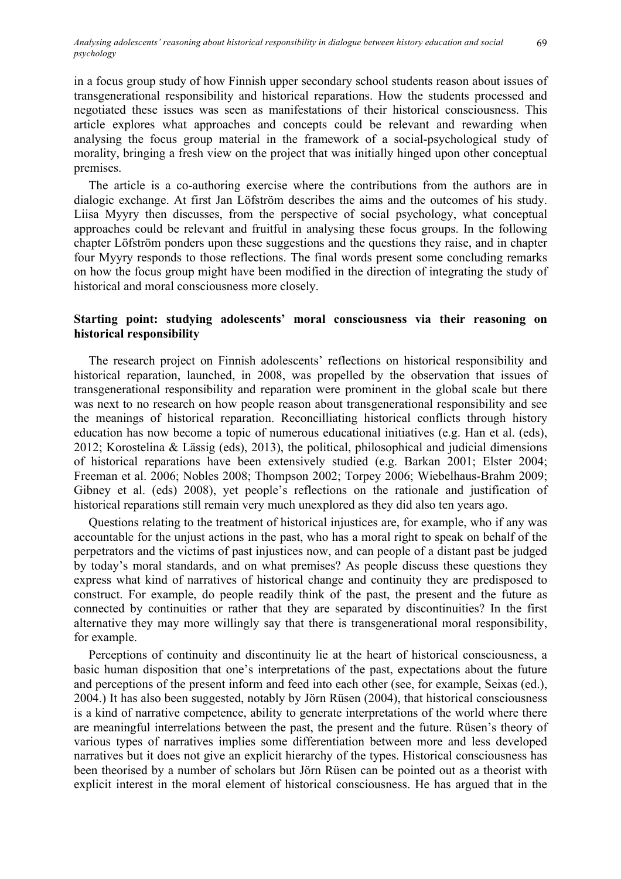in a focus group study of how Finnish upper secondary school students reason about issues of transgenerational responsibility and historical reparations. How the students processed and negotiated these issues was seen as manifestations of their historical consciousness. This article explores what approaches and concepts could be relevant and rewarding when analysing the focus group material in the framework of a social-psychological study of morality, bringing a fresh view on the project that was initially hinged upon other conceptual premises.

The article is a co-authoring exercise where the contributions from the authors are in dialogic exchange. At first Jan Löfström describes the aims and the outcomes of his study. Liisa Myyry then discusses, from the perspective of social psychology, what conceptual approaches could be relevant and fruitful in analysing these focus groups. In the following chapter Löfström ponders upon these suggestions and the questions they raise, and in chapter four Myyry responds to those reflections. The final words present some concluding remarks on how the focus group might have been modified in the direction of integrating the study of historical and moral consciousness more closely.

# **Starting point: studying adolescents' moral consciousness via their reasoning on historical responsibility**

The research project on Finnish adolescents' reflections on historical responsibility and historical reparation, launched, in 2008, was propelled by the observation that issues of transgenerational responsibility and reparation were prominent in the global scale but there was next to no research on how people reason about transgenerational responsibility and see the meanings of historical reparation. Reconcilliating historical conflicts through history education has now become a topic of numerous educational initiatives (e.g. Han et al. (eds), 2012; Korostelina & Lässig (eds), 2013), the political, philosophical and judicial dimensions of historical reparations have been extensively studied (e.g. Barkan 2001; Elster 2004; Freeman et al. 2006; Nobles 2008; Thompson 2002; Torpey 2006; Wiebelhaus-Brahm 2009; Gibney et al. (eds) 2008), yet people's reflections on the rationale and justification of historical reparations still remain very much unexplored as they did also ten years ago.

Questions relating to the treatment of historical injustices are, for example, who if any was accountable for the unjust actions in the past, who has a moral right to speak on behalf of the perpetrators and the victims of past injustices now, and can people of a distant past be judged by today's moral standards, and on what premises? As people discuss these questions they express what kind of narratives of historical change and continuity they are predisposed to construct. For example, do people readily think of the past, the present and the future as connected by continuities or rather that they are separated by discontinuities? In the first alternative they may more willingly say that there is transgenerational moral responsibility, for example.

Perceptions of continuity and discontinuity lie at the heart of historical consciousness, a basic human disposition that one's interpretations of the past, expectations about the future and perceptions of the present inform and feed into each other (see, for example, Seixas (ed.), 2004.) It has also been suggested, notably by Jörn Rüsen (2004), that historical consciousness is a kind of narrative competence, ability to generate interpretations of the world where there are meaningful interrelations between the past, the present and the future. Rüsen's theory of various types of narratives implies some differentiation between more and less developed narratives but it does not give an explicit hierarchy of the types. Historical consciousness has been theorised by a number of scholars but Jörn Rüsen can be pointed out as a theorist with explicit interest in the moral element of historical consciousness. He has argued that in the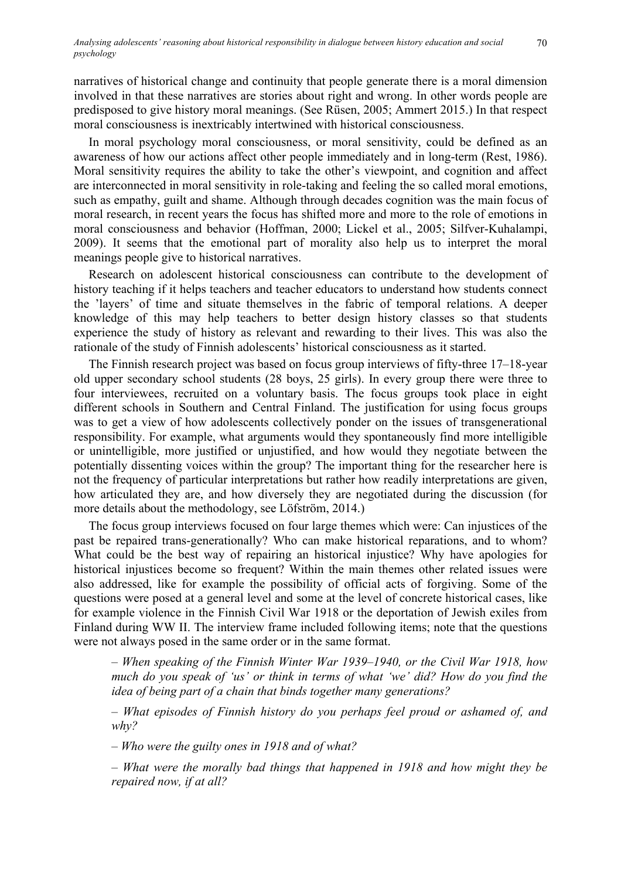narratives of historical change and continuity that people generate there is a moral dimension involved in that these narratives are stories about right and wrong. In other words people are predisposed to give history moral meanings. (See Rüsen, 2005; Ammert 2015.) In that respect moral consciousness is inextricably intertwined with historical consciousness.

In moral psychology moral consciousness, or moral sensitivity, could be defined as an awareness of how our actions affect other people immediately and in long-term (Rest, 1986). Moral sensitivity requires the ability to take the other's viewpoint, and cognition and affect are interconnected in moral sensitivity in role-taking and feeling the so called moral emotions, such as empathy, guilt and shame. Although through decades cognition was the main focus of moral research, in recent years the focus has shifted more and more to the role of emotions in moral consciousness and behavior (Hoffman, 2000; Lickel et al., 2005; Silfver-Kuhalampi, 2009). It seems that the emotional part of morality also help us to interpret the moral meanings people give to historical narratives.

Research on adolescent historical consciousness can contribute to the development of history teaching if it helps teachers and teacher educators to understand how students connect the 'layers' of time and situate themselves in the fabric of temporal relations. A deeper knowledge of this may help teachers to better design history classes so that students experience the study of history as relevant and rewarding to their lives. This was also the rationale of the study of Finnish adolescents' historical consciousness as it started.

The Finnish research project was based on focus group interviews of fifty-three 17–18-year old upper secondary school students (28 boys, 25 girls). In every group there were three to four interviewees, recruited on a voluntary basis. The focus groups took place in eight different schools in Southern and Central Finland. The justification for using focus groups was to get a view of how adolescents collectively ponder on the issues of transgenerational responsibility. For example, what arguments would they spontaneously find more intelligible or unintelligible, more justified or unjustified, and how would they negotiate between the potentially dissenting voices within the group? The important thing for the researcher here is not the frequency of particular interpretations but rather how readily interpretations are given, how articulated they are, and how diversely they are negotiated during the discussion (for more details about the methodology, see Löfström, 2014.)

The focus group interviews focused on four large themes which were: Can injustices of the past be repaired trans-generationally? Who can make historical reparations, and to whom? What could be the best way of repairing an historical injustice? Why have apologies for historical injustices become so frequent? Within the main themes other related issues were also addressed, like for example the possibility of official acts of forgiving. Some of the questions were posed at a general level and some at the level of concrete historical cases, like for example violence in the Finnish Civil War 1918 or the deportation of Jewish exiles from Finland during WW II. The interview frame included following items; note that the questions were not always posed in the same order or in the same format.

*– When speaking of the Finnish Winter War 1939–1940, or the Civil War 1918, how much do you speak of 'us' or think in terms of what 'we' did? How do you find the idea of being part of a chain that binds together many generations?*

*– What episodes of Finnish history do you perhaps feel proud or ashamed of, and why?*

*– Who were the guilty ones in 1918 and of what?* 

*– What were the morally bad things that happened in 1918 and how might they be repaired now, if at all?*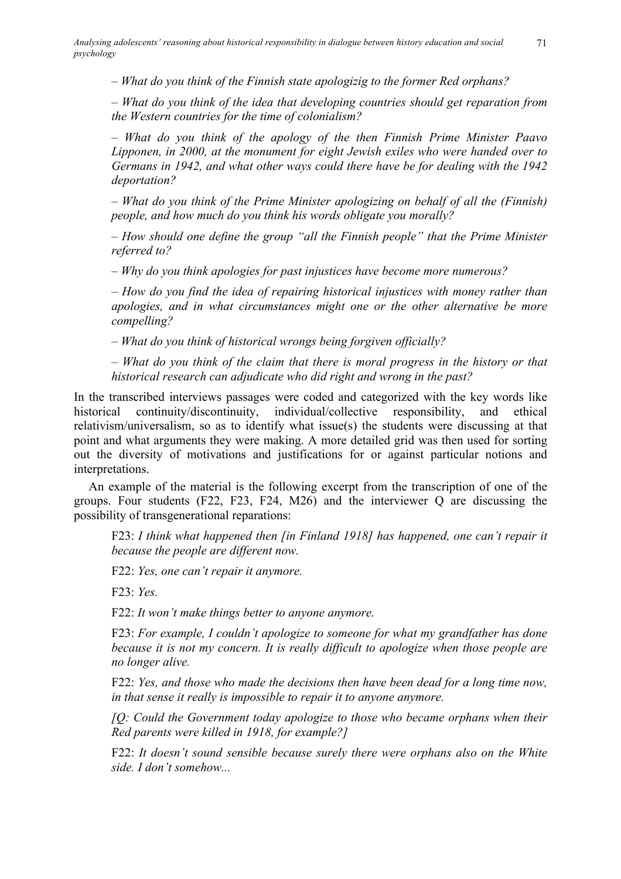*– What do you think of the Finnish state apologizig to the former Red orphans?*

*– What do you think of the idea that developing countries should get reparation from the Western countries for the time of colonialism?*

*– What do you think of the apology of the then Finnish Prime Minister Paavo Lipponen, in 2000, at the monument for eight Jewish exiles who were handed over to Germans in 1942, and what other ways could there have be for dealing with the 1942 deportation?* 

*– What do you think of the Prime Minister apologizing on behalf of all the (Finnish) people, and how much do you think his words obligate you morally?* 

*– How should one define the group "all the Finnish people" that the Prime Minister referred to?*

*– Why do you think apologies for past injustices have become more numerous?* 

*– How do you find the idea of repairing historical injustices with money rather than apologies, and in what circumstances might one or the other alternative be more compelling?*

*– What do you think of historical wrongs being forgiven officially?*

*– What do you think of the claim that there is moral progress in the history or that historical research can adjudicate who did right and wrong in the past?*

In the transcribed interviews passages were coded and categorized with the key words like historical continuity/discontinuity, individual/collective responsibility, and ethical relativism/universalism, so as to identify what issue(s) the students were discussing at that point and what arguments they were making. A more detailed grid was then used for sorting out the diversity of motivations and justifications for or against particular notions and interpretations.

An example of the material is the following excerpt from the transcription of one of the groups. Four students (F22, F23, F24, M26) and the interviewer Q are discussing the possibility of transgenerational reparations:

F23: *I think what happened then [in Finland 1918] has happened, one can't repair it because the people are different now.*

F22: *Yes, one can't repair it anymore.*

F23: *Yes.*

F22: *It won't make things better to anyone anymore.*

F23: *For example, I couldn't apologize to someone for what my grandfather has done because it is not my concern. It is really difficult to apologize when those people are no longer alive.*

F22: *Yes, and those who made the decisions then have been dead for a long time now, in that sense it really is impossible to repair it to anyone anymore.*

*[Q: Could the Government today apologize to those who became orphans when their Red parents were killed in 1918, for example?]*

F22: *It doesn't sound sensible because surely there were orphans also on the White side. I don't somehow...*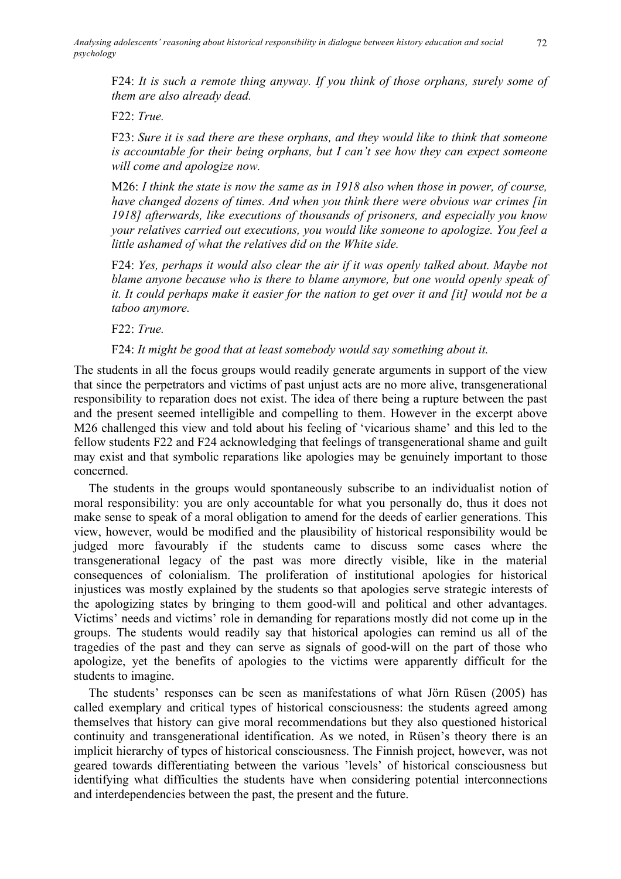F24: *It is such a remote thing anyway. If you think of those orphans, surely some of them are also already dead.*

F22: *True.*

F23: *Sure it is sad there are these orphans, and they would like to think that someone is accountable for their being orphans, but I can't see how they can expect someone will come and apologize now.*

M26: *I think the state is now the same as in 1918 also when those in power, of course, have changed dozens of times. And when you think there were obvious war crimes [in 1918] afterwards, like executions of thousands of prisoners, and especially you know your relatives carried out executions, you would like someone to apologize. You feel a little ashamed of what the relatives did on the White side.*

F24: *Yes, perhaps it would also clear the air if it was openly talked about. Maybe not blame anyone because who is there to blame anymore, but one would openly speak of it. It could perhaps make it easier for the nation to get over it and [it] would not be a taboo anymore.*

F22: *True.*

# F24: *It might be good that at least somebody would say something about it.*

The students in all the focus groups would readily generate arguments in support of the view that since the perpetrators and victims of past unjust acts are no more alive, transgenerational responsibility to reparation does not exist. The idea of there being a rupture between the past and the present seemed intelligible and compelling to them. However in the excerpt above M26 challenged this view and told about his feeling of 'vicarious shame' and this led to the fellow students F22 and F24 acknowledging that feelings of transgenerational shame and guilt may exist and that symbolic reparations like apologies may be genuinely important to those concerned.

The students in the groups would spontaneously subscribe to an individualist notion of moral responsibility: you are only accountable for what you personally do, thus it does not make sense to speak of a moral obligation to amend for the deeds of earlier generations. This view, however, would be modified and the plausibility of historical responsibility would be judged more favourably if the students came to discuss some cases where the transgenerational legacy of the past was more directly visible, like in the material consequences of colonialism. The proliferation of institutional apologies for historical injustices was mostly explained by the students so that apologies serve strategic interests of the apologizing states by bringing to them good-will and political and other advantages. Victims' needs and victims' role in demanding for reparations mostly did not come up in the groups. The students would readily say that historical apologies can remind us all of the tragedies of the past and they can serve as signals of good-will on the part of those who apologize, yet the benefits of apologies to the victims were apparently difficult for the students to imagine.

The students' responses can be seen as manifestations of what Jörn Rüsen (2005) has called exemplary and critical types of historical consciousness: the students agreed among themselves that history can give moral recommendations but they also questioned historical continuity and transgenerational identification. As we noted, in Rüsen's theory there is an implicit hierarchy of types of historical consciousness. The Finnish project, however, was not geared towards differentiating between the various 'levels' of historical consciousness but identifying what difficulties the students have when considering potential interconnections and interdependencies between the past, the present and the future.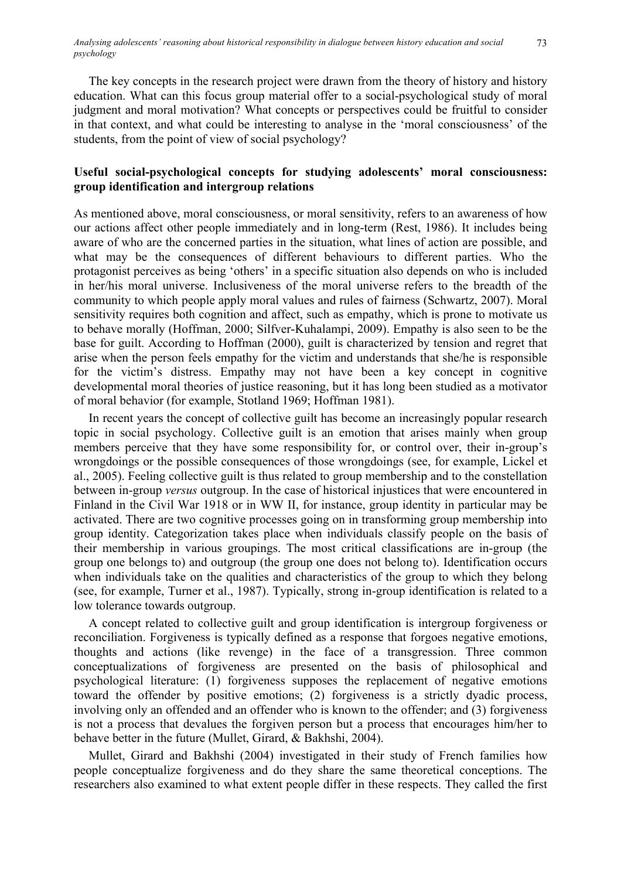The key concepts in the research project were drawn from the theory of history and history education. What can this focus group material offer to a social-psychological study of moral judgment and moral motivation? What concepts or perspectives could be fruitful to consider in that context, and what could be interesting to analyse in the 'moral consciousness' of the students, from the point of view of social psychology?

# **Useful social-psychological concepts for studying adolescents' moral consciousness: group identification and intergroup relations**

As mentioned above, moral consciousness, or moral sensitivity, refers to an awareness of how our actions affect other people immediately and in long-term (Rest, 1986). It includes being aware of who are the concerned parties in the situation, what lines of action are possible, and what may be the consequences of different behaviours to different parties. Who the protagonist perceives as being 'others' in a specific situation also depends on who is included in her/his moral universe. Inclusiveness of the moral universe refers to the breadth of the community to which people apply moral values and rules of fairness (Schwartz, 2007). Moral sensitivity requires both cognition and affect, such as empathy, which is prone to motivate us to behave morally (Hoffman, 2000; Silfver-Kuhalampi, 2009). Empathy is also seen to be the base for guilt. According to Hoffman (2000), guilt is characterized by tension and regret that arise when the person feels empathy for the victim and understands that she/he is responsible for the victim's distress. Empathy may not have been a key concept in cognitive developmental moral theories of justice reasoning, but it has long been studied as a motivator of moral behavior (for example, Stotland 1969; Hoffman 1981).

In recent years the concept of collective guilt has become an increasingly popular research topic in social psychology. Collective guilt is an emotion that arises mainly when group members perceive that they have some responsibility for, or control over, their in-group's wrongdoings or the possible consequences of those wrongdoings (see, for example, Lickel et al., 2005). Feeling collective guilt is thus related to group membership and to the constellation between in-group *versus* outgroup. In the case of historical injustices that were encountered in Finland in the Civil War 1918 or in WW II, for instance, group identity in particular may be activated. There are two cognitive processes going on in transforming group membership into group identity. Categorization takes place when individuals classify people on the basis of their membership in various groupings. The most critical classifications are in-group (the group one belongs to) and outgroup (the group one does not belong to). Identification occurs when individuals take on the qualities and characteristics of the group to which they belong (see, for example, Turner et al., 1987). Typically, strong in-group identification is related to a low tolerance towards outgroup.

A concept related to collective guilt and group identification is intergroup forgiveness or reconciliation. Forgiveness is typically defined as a response that forgoes negative emotions, thoughts and actions (like revenge) in the face of a transgression. Three common conceptualizations of forgiveness are presented on the basis of philosophical and psychological literature: (1) forgiveness supposes the replacement of negative emotions toward the offender by positive emotions; (2) forgiveness is a strictly dyadic process, involving only an offended and an offender who is known to the offender; and (3) forgiveness is not a process that devalues the forgiven person but a process that encourages him/her to behave better in the future (Mullet, Girard, & Bakhshi, 2004).

Mullet, Girard and Bakhshi (2004) investigated in their study of French families how people conceptualize forgiveness and do they share the same theoretical conceptions. The researchers also examined to what extent people differ in these respects. They called the first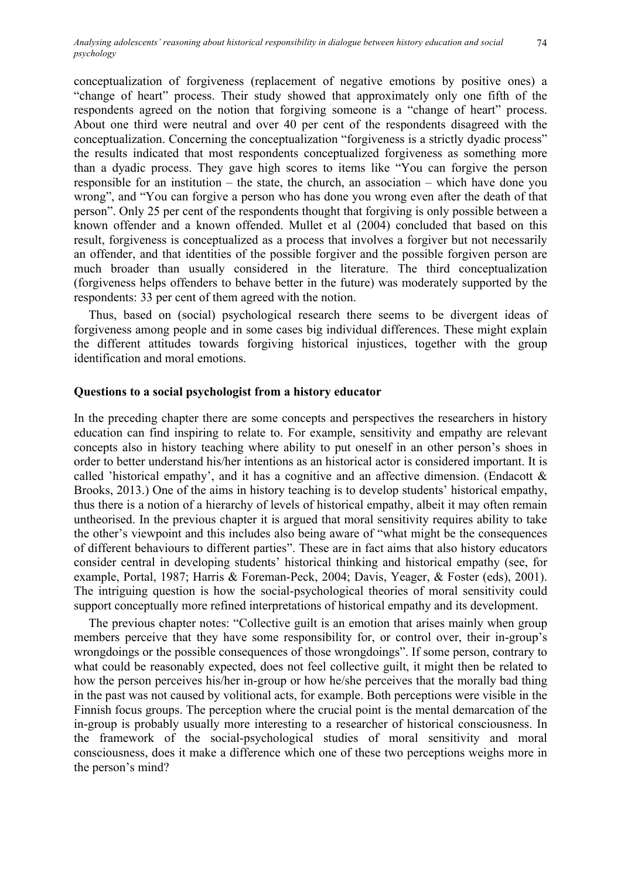conceptualization of forgiveness (replacement of negative emotions by positive ones) a "change of heart" process. Their study showed that approximately only one fifth of the respondents agreed on the notion that forgiving someone is a "change of heart" process. About one third were neutral and over 40 per cent of the respondents disagreed with the conceptualization. Concerning the conceptualization "forgiveness is a strictly dyadic process" the results indicated that most respondents conceptualized forgiveness as something more than a dyadic process. They gave high scores to items like "You can forgive the person responsible for an institution – the state, the church, an association – which have done you wrong", and "You can forgive a person who has done you wrong even after the death of that person". Only 25 per cent of the respondents thought that forgiving is only possible between a known offender and a known offended. Mullet et al (2004) concluded that based on this result, forgiveness is conceptualized as a process that involves a forgiver but not necessarily an offender, and that identities of the possible forgiver and the possible forgiven person are much broader than usually considered in the literature. The third conceptualization (forgiveness helps offenders to behave better in the future) was moderately supported by the respondents: 33 per cent of them agreed with the notion.

Thus, based on (social) psychological research there seems to be divergent ideas of forgiveness among people and in some cases big individual differences. These might explain the different attitudes towards forgiving historical injustices, together with the group identification and moral emotions.

#### **Questions to a social psychologist from a history educator**

In the preceding chapter there are some concepts and perspectives the researchers in history education can find inspiring to relate to. For example, sensitivity and empathy are relevant concepts also in history teaching where ability to put oneself in an other person's shoes in order to better understand his/her intentions as an historical actor is considered important. It is called 'historical empathy', and it has a cognitive and an affective dimension. (Endacott  $\&$ Brooks, 2013.) One of the aims in history teaching is to develop students' historical empathy, thus there is a notion of a hierarchy of levels of historical empathy, albeit it may often remain untheorised. In the previous chapter it is argued that moral sensitivity requires ability to take the other's viewpoint and this includes also being aware of "what might be the consequences of different behaviours to different parties". These are in fact aims that also history educators consider central in developing students' historical thinking and historical empathy (see, for example, Portal, 1987; Harris & Foreman-Peck, 2004; Davis, Yeager, & Foster (eds), 2001). The intriguing question is how the social-psychological theories of moral sensitivity could support conceptually more refined interpretations of historical empathy and its development.

The previous chapter notes: "Collective guilt is an emotion that arises mainly when group members perceive that they have some responsibility for, or control over, their in-group's wrongdoings or the possible consequences of those wrongdoings". If some person, contrary to what could be reasonably expected, does not feel collective guilt, it might then be related to how the person perceives his/her in-group or how he/she perceives that the morally bad thing in the past was not caused by volitional acts, for example. Both perceptions were visible in the Finnish focus groups. The perception where the crucial point is the mental demarcation of the in-group is probably usually more interesting to a researcher of historical consciousness. In the framework of the social-psychological studies of moral sensitivity and moral consciousness, does it make a difference which one of these two perceptions weighs more in the person's mind?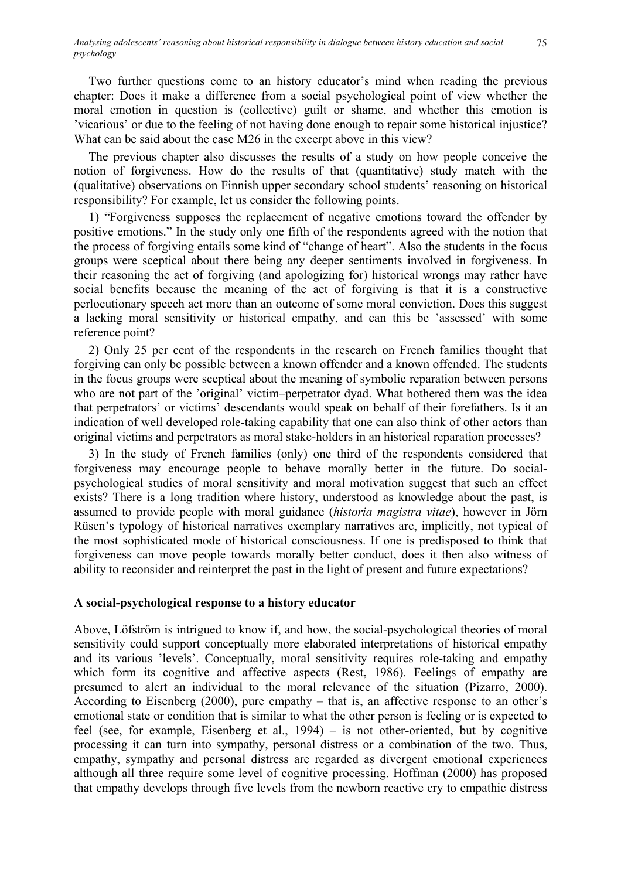Two further questions come to an history educator's mind when reading the previous chapter: Does it make a difference from a social psychological point of view whether the moral emotion in question is (collective) guilt or shame, and whether this emotion is 'vicarious' or due to the feeling of not having done enough to repair some historical injustice? What can be said about the case M26 in the excerpt above in this view?

The previous chapter also discusses the results of a study on how people conceive the notion of forgiveness. How do the results of that (quantitative) study match with the (qualitative) observations on Finnish upper secondary school students' reasoning on historical responsibility? For example, let us consider the following points.

1) "Forgiveness supposes the replacement of negative emotions toward the offender by positive emotions." In the study only one fifth of the respondents agreed with the notion that the process of forgiving entails some kind of "change of heart". Also the students in the focus groups were sceptical about there being any deeper sentiments involved in forgiveness. In their reasoning the act of forgiving (and apologizing for) historical wrongs may rather have social benefits because the meaning of the act of forgiving is that it is a constructive perlocutionary speech act more than an outcome of some moral conviction. Does this suggest a lacking moral sensitivity or historical empathy, and can this be 'assessed' with some reference point?

2) Only 25 per cent of the respondents in the research on French families thought that forgiving can only be possible between a known offender and a known offended. The students in the focus groups were sceptical about the meaning of symbolic reparation between persons who are not part of the 'original' victim–perpetrator dyad. What bothered them was the idea that perpetrators' or victims' descendants would speak on behalf of their forefathers. Is it an indication of well developed role-taking capability that one can also think of other actors than original victims and perpetrators as moral stake-holders in an historical reparation processes?

3) In the study of French families (only) one third of the respondents considered that forgiveness may encourage people to behave morally better in the future. Do socialpsychological studies of moral sensitivity and moral motivation suggest that such an effect exists? There is a long tradition where history, understood as knowledge about the past, is assumed to provide people with moral guidance (*historia magistra vitae*), however in Jörn Rüsen's typology of historical narratives exemplary narratives are, implicitly, not typical of the most sophisticated mode of historical consciousness. If one is predisposed to think that forgiveness can move people towards morally better conduct, does it then also witness of ability to reconsider and reinterpret the past in the light of present and future expectations?

## **A social-psychological response to a history educator**

Above, Löfström is intrigued to know if, and how, the social-psychological theories of moral sensitivity could support conceptually more elaborated interpretations of historical empathy and its various 'levels'. Conceptually, moral sensitivity requires role-taking and empathy which form its cognitive and affective aspects (Rest, 1986). Feelings of empathy are presumed to alert an individual to the moral relevance of the situation (Pizarro, 2000). According to Eisenberg (2000), pure empathy – that is, an affective response to an other's emotional state or condition that is similar to what the other person is feeling or is expected to feel (see, for example, Eisenberg et al., 1994) – is not other-oriented, but by cognitive processing it can turn into sympathy, personal distress or a combination of the two. Thus, empathy, sympathy and personal distress are regarded as divergent emotional experiences although all three require some level of cognitive processing. Hoffman (2000) has proposed that empathy develops through five levels from the newborn reactive cry to empathic distress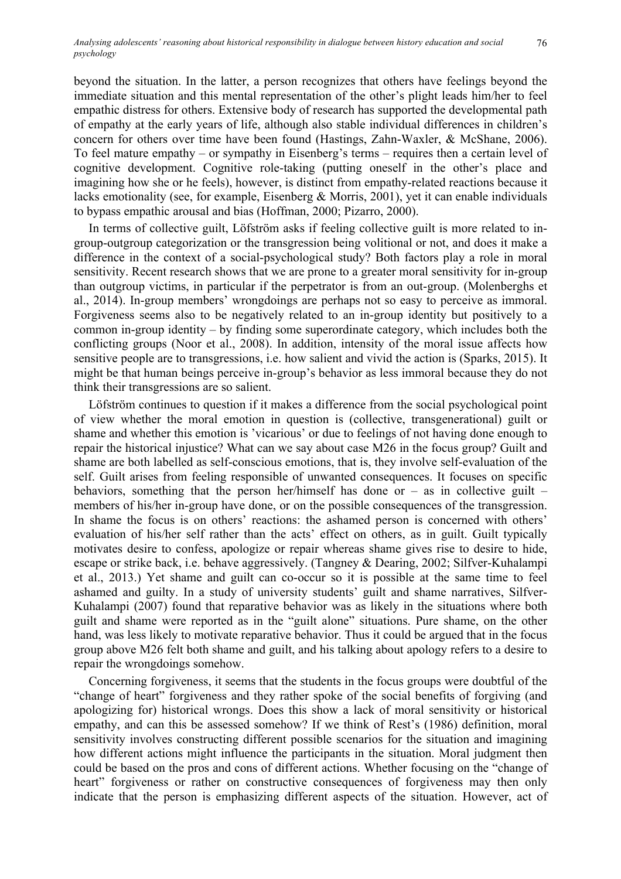beyond the situation. In the latter, a person recognizes that others have feelings beyond the immediate situation and this mental representation of the other's plight leads him/her to feel empathic distress for others. Extensive body of research has supported the developmental path of empathy at the early years of life, although also stable individual differences in children's concern for others over time have been found (Hastings, Zahn-Waxler, & McShane, 2006). To feel mature empathy – or sympathy in Eisenberg's terms – requires then a certain level of cognitive development. Cognitive role-taking (putting oneself in the other's place and imagining how she or he feels), however, is distinct from empathy-related reactions because it lacks emotionality (see, for example, Eisenberg & Morris, 2001), yet it can enable individuals to bypass empathic arousal and bias (Hoffman, 2000; Pizarro, 2000).

In terms of collective guilt, Löfström asks if feeling collective guilt is more related to ingroup-outgroup categorization or the transgression being volitional or not, and does it make a difference in the context of a social-psychological study? Both factors play a role in moral sensitivity. Recent research shows that we are prone to a greater moral sensitivity for in-group than outgroup victims, in particular if the perpetrator is from an out-group. (Molenberghs et al., 2014). In-group members' wrongdoings are perhaps not so easy to perceive as immoral. Forgiveness seems also to be negatively related to an in-group identity but positively to a common in-group identity – by finding some superordinate category, which includes both the conflicting groups (Noor et al., 2008). In addition, intensity of the moral issue affects how sensitive people are to transgressions, i.e. how salient and vivid the action is (Sparks, 2015). It might be that human beings perceive in-group's behavior as less immoral because they do not think their transgressions are so salient.

Löfström continues to question if it makes a difference from the social psychological point of view whether the moral emotion in question is (collective, transgenerational) guilt or shame and whether this emotion is 'vicarious' or due to feelings of not having done enough to repair the historical injustice? What can we say about case M26 in the focus group? Guilt and shame are both labelled as self-conscious emotions, that is, they involve self-evaluation of the self. Guilt arises from feeling responsible of unwanted consequences. It focuses on specific behaviors, something that the person her/himself has done or  $-$  as in collective guilt  $$ members of his/her in-group have done, or on the possible consequences of the transgression. In shame the focus is on others' reactions: the ashamed person is concerned with others' evaluation of his/her self rather than the acts' effect on others, as in guilt. Guilt typically motivates desire to confess, apologize or repair whereas shame gives rise to desire to hide, escape or strike back, i.e. behave aggressively. (Tangney & Dearing, 2002; Silfver-Kuhalampi et al., 2013.) Yet shame and guilt can co-occur so it is possible at the same time to feel ashamed and guilty. In a study of university students' guilt and shame narratives, Silfver-Kuhalampi (2007) found that reparative behavior was as likely in the situations where both guilt and shame were reported as in the "guilt alone" situations. Pure shame, on the other hand, was less likely to motivate reparative behavior. Thus it could be argued that in the focus group above M26 felt both shame and guilt, and his talking about apology refers to a desire to repair the wrongdoings somehow.

Concerning forgiveness, it seems that the students in the focus groups were doubtful of the "change of heart" forgiveness and they rather spoke of the social benefits of forgiving (and apologizing for) historical wrongs. Does this show a lack of moral sensitivity or historical empathy, and can this be assessed somehow? If we think of Rest's (1986) definition, moral sensitivity involves constructing different possible scenarios for the situation and imagining how different actions might influence the participants in the situation. Moral judgment then could be based on the pros and cons of different actions. Whether focusing on the "change of heart" forgiveness or rather on constructive consequences of forgiveness may then only indicate that the person is emphasizing different aspects of the situation. However, act of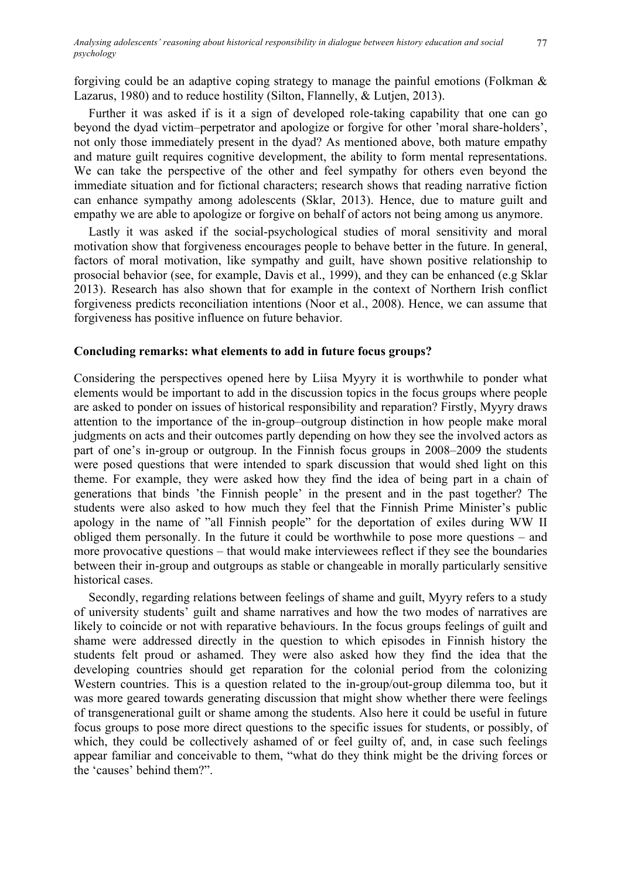forgiving could be an adaptive coping strategy to manage the painful emotions (Folkman & Lazarus, 1980) and to reduce hostility (Silton, Flannelly, & Lutjen, 2013).

Further it was asked if is it a sign of developed role-taking capability that one can go beyond the dyad victim–perpetrator and apologize or forgive for other 'moral share-holders', not only those immediately present in the dyad? As mentioned above, both mature empathy and mature guilt requires cognitive development, the ability to form mental representations. We can take the perspective of the other and feel sympathy for others even beyond the immediate situation and for fictional characters; research shows that reading narrative fiction can enhance sympathy among adolescents (Sklar, 2013). Hence, due to mature guilt and empathy we are able to apologize or forgive on behalf of actors not being among us anymore.

Lastly it was asked if the social-psychological studies of moral sensitivity and moral motivation show that forgiveness encourages people to behave better in the future. In general, factors of moral motivation, like sympathy and guilt, have shown positive relationship to prosocial behavior (see, for example, Davis et al., 1999), and they can be enhanced (e.g Sklar 2013). Research has also shown that for example in the context of Northern Irish conflict forgiveness predicts reconciliation intentions (Noor et al., 2008). Hence, we can assume that forgiveness has positive influence on future behavior.

## **Concluding remarks: what elements to add in future focus groups?**

Considering the perspectives opened here by Liisa Myyry it is worthwhile to ponder what elements would be important to add in the discussion topics in the focus groups where people are asked to ponder on issues of historical responsibility and reparation? Firstly, Myyry draws attention to the importance of the in-group*–*outgroup distinction in how people make moral judgments on acts and their outcomes partly depending on how they see the involved actors as part of one's in-group or outgroup. In the Finnish focus groups in 2008–2009 the students were posed questions that were intended to spark discussion that would shed light on this theme. For example, they were asked how they find the idea of being part in a chain of generations that binds 'the Finnish people' in the present and in the past together? The students were also asked to how much they feel that the Finnish Prime Minister's public apology in the name of "all Finnish people" for the deportation of exiles during WW II obliged them personally. In the future it could be worthwhile to pose more questions – and more provocative questions – that would make interviewees reflect if they see the boundaries between their in-group and outgroups as stable or changeable in morally particularly sensitive historical cases.

Secondly, regarding relations between feelings of shame and guilt, Myyry refers to a study of university students' guilt and shame narratives and how the two modes of narratives are likely to coincide or not with reparative behaviours. In the focus groups feelings of guilt and shame were addressed directly in the question to which episodes in Finnish history the students felt proud or ashamed. They were also asked how they find the idea that the developing countries should get reparation for the colonial period from the colonizing Western countries. This is a question related to the in-group/out-group dilemma too, but it was more geared towards generating discussion that might show whether there were feelings of transgenerational guilt or shame among the students. Also here it could be useful in future focus groups to pose more direct questions to the specific issues for students, or possibly, of which, they could be collectively ashamed of or feel guilty of, and, in case such feelings appear familiar and conceivable to them, "what do they think might be the driving forces or the 'causes' behind them?".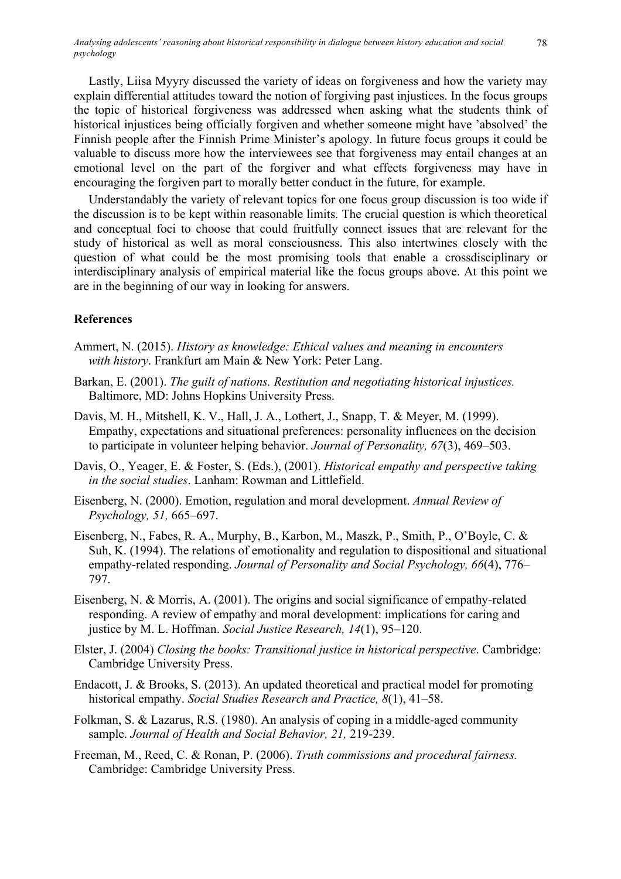Lastly, Liisa Myyry discussed the variety of ideas on forgiveness and how the variety may explain differential attitudes toward the notion of forgiving past injustices. In the focus groups the topic of historical forgiveness was addressed when asking what the students think of historical injustices being officially forgiven and whether someone might have 'absolved' the Finnish people after the Finnish Prime Minister's apology. In future focus groups it could be valuable to discuss more how the interviewees see that forgiveness may entail changes at an emotional level on the part of the forgiver and what effects forgiveness may have in encouraging the forgiven part to morally better conduct in the future, for example.

Understandably the variety of relevant topics for one focus group discussion is too wide if the discussion is to be kept within reasonable limits. The crucial question is which theoretical and conceptual foci to choose that could fruitfully connect issues that are relevant for the study of historical as well as moral consciousness. This also intertwines closely with the question of what could be the most promising tools that enable a crossdisciplinary or interdisciplinary analysis of empirical material like the focus groups above. At this point we are in the beginning of our way in looking for answers.

## **References**

- Ammert, N. (2015). *History as knowledge: Ethical values and meaning in encounters with history*. Frankfurt am Main & New York: Peter Lang.
- Barkan, E. (2001). *The guilt of nations. Restitution and negotiating historical injustices.* Baltimore, MD: Johns Hopkins University Press.
- Davis, M. H., Mitshell, K. V., Hall, J. A., Lothert, J., Snapp, T. & Meyer, M. (1999). Empathy, expectations and situational preferences: personality influences on the decision to participate in volunteer helping behavior. *Journal of Personality, 67*(3), 469–503.
- Davis, O., Yeager, E. & Foster, S. (Eds.), (2001). *Historical empathy and perspective taking in the social studies*. Lanham: Rowman and Littlefield.
- Eisenberg, N. (2000). Emotion, regulation and moral development. *Annual Review of Psychology, 51,* 665–697.
- Eisenberg, N., Fabes, R. A., Murphy, B., Karbon, M., Maszk, P., Smith, P., O'Boyle, C. & Suh, K. (1994). The relations of emotionality and regulation to dispositional and situational empathy-related responding. *Journal of Personality and Social Psychology, 66*(4), 776– 797.
- Eisenberg, N. & Morris, A. (2001). The origins and social significance of empathy-related responding. A review of empathy and moral development: implications for caring and justice by M. L. Hoffman. *Social Justice Research, 14*(1), 95–120.
- Elster, J. (2004) *Closing the books: Transitional justice in historical perspective*. Cambridge: Cambridge University Press.
- Endacott, J. & Brooks, S. (2013). An updated theoretical and practical model for promoting historical empathy. *Social Studies Research and Practice, 8*(1), 41–58.
- Folkman, S. & Lazarus, R.S. (1980). An analysis of coping in a middle-aged community sample. *Journal of Health and Social Behavior, 21,* 219-239.
- Freeman, M., Reed, C. & Ronan, P. (2006). *Truth commissions and procedural fairness.* Cambridge: Cambridge University Press.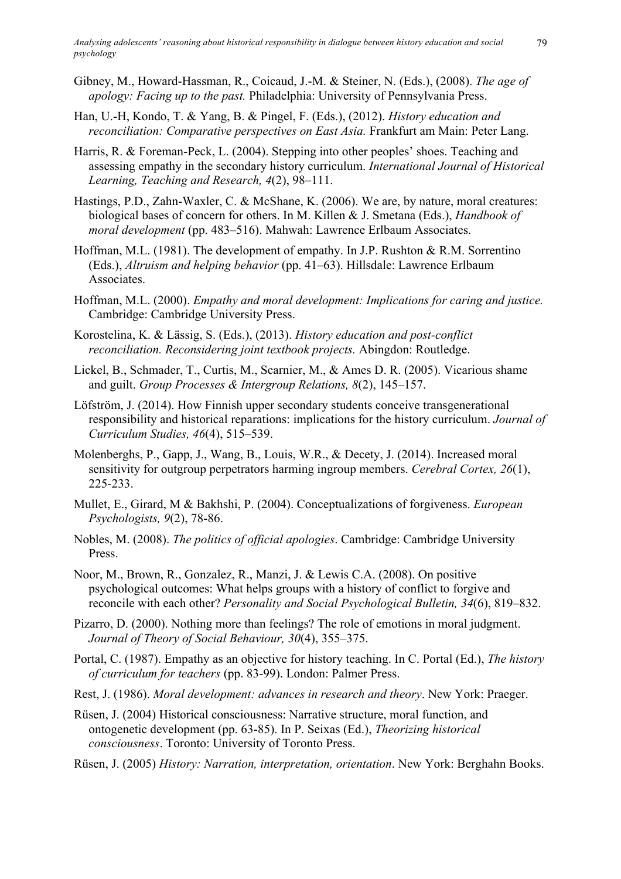- Gibney, M., Howard-Hassman, R., Coicaud, J.-M. & Steiner, N. (Eds.), (2008). *The age of apology: Facing up to the past.* Philadelphia: University of Pennsylvania Press.
- Han, U.-H, Kondo, T. & Yang, B. & Pingel, F. (Eds.), (2012). *History education and reconciliation: Comparative perspectives on East Asia.* Frankfurt am Main: Peter Lang.
- Harris, R. & Foreman-Peck, L. (2004). Stepping into other peoples' shoes. Teaching and assessing empathy in the secondary history curriculum. *International Journal of Historical Learning, Teaching and Research, 4*(2), 98–111.
- Hastings, P.D., Zahn-Waxler, C. & McShane, K. (2006). We are, by nature, moral creatures: biological bases of concern for others. In M. Killen & J. Smetana (Eds.), *Handbook of moral development* (pp. 483–516). Mahwah: Lawrence Erlbaum Associates.
- Hoffman, M.L. (1981). The development of empathy. In J.P. Rushton & R.M. Sorrentino (Eds.), *Altruism and helping behavior* (pp. 41–63). Hillsdale: Lawrence Erlbaum Associates.
- Hoffman, M.L. (2000). *Empathy and moral development: Implications for caring and justice.* Cambridge: Cambridge University Press.
- Korostelina, K. & Lässig, S. (Eds.), (2013). *History education and post-conflict reconciliation. Reconsidering joint textbook projects.* Abingdon: Routledge.
- Lickel, B., Schmader, T., Curtis, M., Scarnier, M., & Ames D. R. (2005). Vicarious shame and guilt. *Group Processes & Intergroup Relations, 8*(2), 145–157.
- Löfström, J. (2014). How Finnish upper secondary students conceive transgenerational responsibility and historical reparations: implications for the history curriculum. *Journal of Curriculum Studies, 46*(4), 515–539.
- Molenberghs, P., Gapp, J., Wang, B., Louis, W.R., & Decety, J. (2014). Increased moral sensitivity for outgroup perpetrators harming ingroup members. *Cerebral Cortex, 26*(1), 225-233.
- Mullet, E., Girard, M & Bakhshi, P. (2004). Conceptualizations of forgiveness. *European Psychologists, 9*(2), 78-86.
- Nobles, M. (2008). *The politics of official apologies*. Cambridge: Cambridge University Press.
- Noor, M., Brown, R., Gonzalez, R., Manzi, J. & Lewis C.A. (2008). On positive psychological outcomes: What helps groups with a history of conflict to forgive and reconcile with each other? *Personality and Social Psychological Bulletin, 34*(6), 819–832.
- Pizarro, D. (2000). Nothing more than feelings? The role of emotions in moral judgment. *Journal of Theory of Social Behaviour, 30*(4), 355–375.
- Portal, C. (1987). Empathy as an objective for history teaching. In C. Portal (Ed.), *The history of curriculum for teachers* (pp. 83-99). London: Palmer Press.
- Rest, J. (1986). *Moral development: advances in research and theory*. New York: Praeger.
- Rüsen, J. (2004) Historical consciousness: Narrative structure, moral function, and ontogenetic development (pp. 63-85). In P. Seixas (Ed.), *Theorizing historical consciousness*. Toronto: University of Toronto Press.
- Rüsen, J. (2005) *History: Narration, interpretation, orientation*. New York: Berghahn Books.